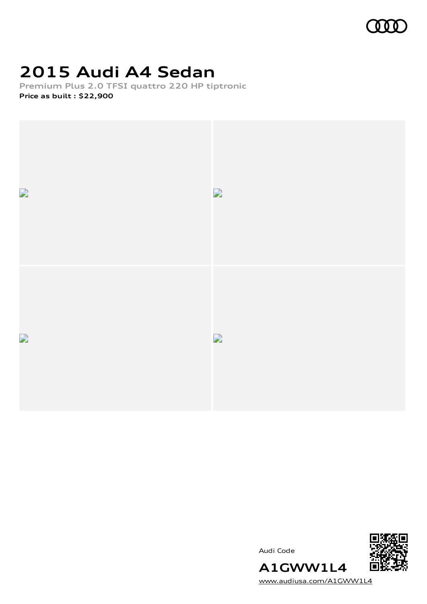

## **2015 Audi A4 Sedan**

**Premium Plus 2.0 TFSI quattro 220 HP tiptronic Price as built [:](#page-10-0) \$22,900**



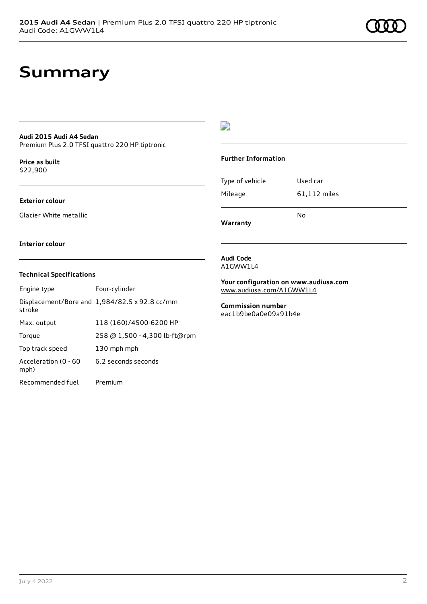### **Summary**

### **Audi 2015 Audi A4 Sedan**

Premium Plus 2.0 TFSI quattro 220 HP tiptronic

**Price as buil[t](#page-10-0)** \$22,900

### **Exterior colour**

Glacier White metallic

### $\overline{\phantom{a}}$

### **Further Information**

| Warranty        |              |
|-----------------|--------------|
|                 | N٥           |
| Mileage         | 61,112 miles |
| Type of vehicle | Used car     |

#### **Interior colour**

### **Technical Specifications**

| Engine type                  | Four-cylinder                                 |
|------------------------------|-----------------------------------------------|
| stroke                       | Displacement/Bore and 1,984/82.5 x 92.8 cc/mm |
| Max. output                  | 118 (160)/4500-6200 HP                        |
| Torque                       | 258 @ 1,500 - 4,300 lb-ft@rpm                 |
| Top track speed              | 130 mph mph                                   |
| Acceleration (0 - 60<br>mph) | 6.2 seconds seconds                           |
| Recommended fuel             | Premium                                       |

#### **Audi Code** A1GWW1L4

**Your configuration on www.audiusa.com** [www.audiusa.com/A1GWW1L4](https://www.audiusa.com/A1GWW1L4)

**Commission number** eac1b9be0a0e09a91b4e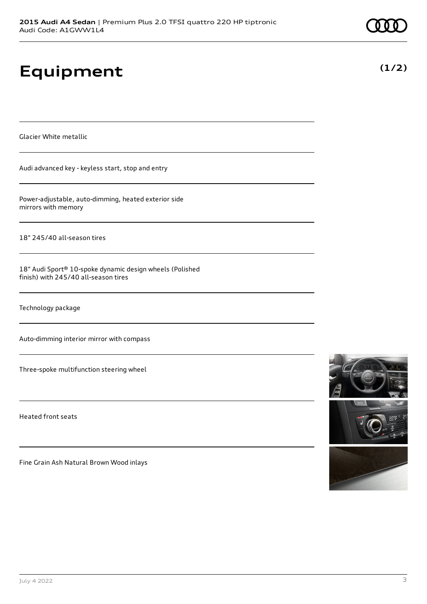# **Equipment**

Glacier White metallic

Audi advanced key - keyless start, stop and entry

Power-adjustable, auto-dimming, heated exterior side mirrors with memory

18" 245/40 all-season tires

18" Audi Sport® 10-spoke dynamic design wheels (Polished finish) with 245/40 all-season tires

Technology package

Auto-dimming interior mirror with compass

Three-spoke multifunction steering wheel

Heated front seats

Fine Grain Ash Natural Brown Wood inlays



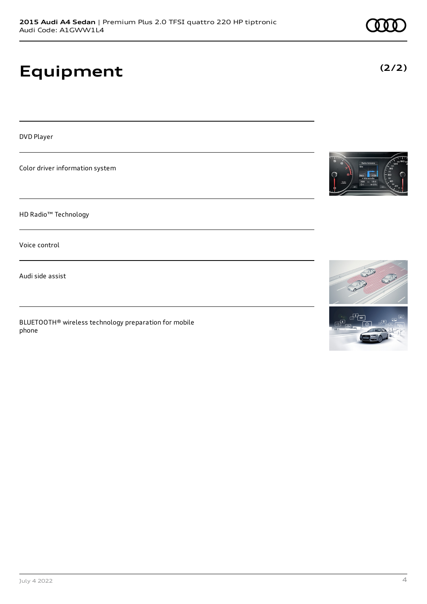# **Equipment**

DVD Player

Color driver information system

HD Radio™ Technology

Voice control

Audi side assist

BLUETOOTH® wireless technology preparation for mobile phone







**(2/2)**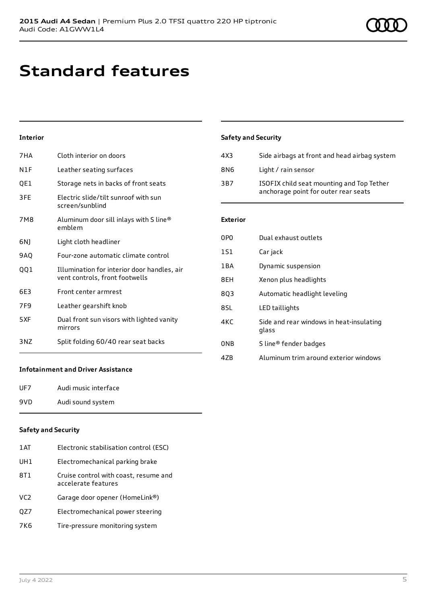# **Standard features**

### **Interior**

| 7HA             | Cloth interior on doors                                                       |
|-----------------|-------------------------------------------------------------------------------|
| N1F             | Leather seating surfaces                                                      |
| QE1             | Storage nets in backs of front seats                                          |
| 3FE             | Electric slide/tilt sunroof with sun<br>screen/sunblind                       |
| 7M8             | Aluminum door sill inlays with S line®<br>emblem                              |
| 6NJ             | Light cloth headliner                                                         |
| 9AQ             | Four-zone automatic climate control                                           |
| 001             | Illumination for interior door handles, air<br>vent controls, front footwells |
| 6E3             | Front center armrest                                                          |
| 7F <sub>9</sub> | Leather gearshift knob                                                        |
| 5XF             | Dual front sun visors with lighted vanity<br>mirrors                          |
| 3 N Z           | Split folding 60/40 rear seat backs                                           |

### **Safety and Security**

| 4X3 | Side airbags at front and head airbag system                                      |
|-----|-----------------------------------------------------------------------------------|
| 8N6 | Light / rain sensor                                                               |
| 3B7 | ISOFIX child seat mounting and Top Tether<br>anchorage point for outer rear seats |

#### **Exterior**

| 0P <sub>0</sub> | Dual exhaust outlets                              |
|-----------------|---------------------------------------------------|
| 1S1             | Car jack                                          |
| 1BA             | Dynamic suspension                                |
| 8EH             | Xenon plus headlights                             |
| 8Q3             | Automatic headlight leveling                      |
| 8SL             | LED taillights                                    |
| 4KC             | Side and rear windows in heat-insulating<br>glass |
| 0 <sub>NB</sub> | S line <sup>®</sup> fender badges                 |
| 4ZB             | Aluminum trim around exterior windows             |

### **Infotainment and Driver Assistance**

| UF7 | Audi music interface |
|-----|----------------------|
| 9VD | Audi sound system    |

### **Safety and Security**

| 1 AT            | Electronic stabilisation control (ESC)                       |
|-----------------|--------------------------------------------------------------|
| UH1             | Electromechanical parking brake                              |
| 8T1             | Cruise control with coast, resume and<br>accelerate features |
| VC <sub>2</sub> | Garage door opener (HomeLink®)                               |
| QZ7             | Electromechanical power steering                             |
| 7K6             | Tire-pressure monitoring system                              |
|                 |                                                              |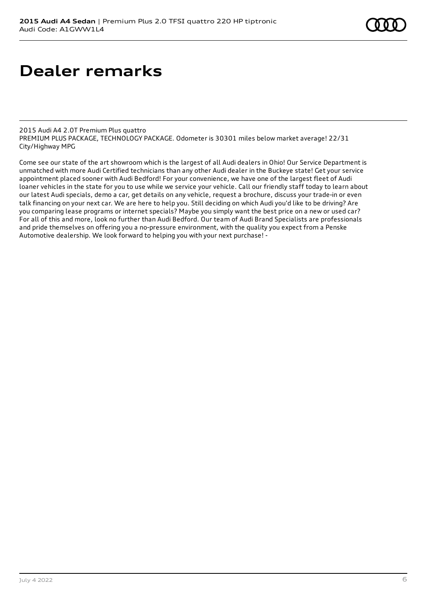# **Dealer remarks**

2015 Audi A4 2.0T Premium Plus quattro PREMIUM PLUS PACKAGE, TECHNOLOGY PACKAGE. Odometer is 30301 miles below market average! 22/31 City/Highway MPG

Come see our state of the art showroom which is the largest of all Audi dealers in Ohio! Our Service Department is unmatched with more Audi Certified technicians than any other Audi dealer in the Buckeye state! Get your service appointment placed sooner with Audi Bedford! For your convenience, we have one of the largest fleet of Audi loaner vehicles in the state for you to use while we service your vehicle. Call our friendly staff today to learn about our latest Audi specials, demo a car, get details on any vehicle, request a brochure, discuss your trade-in or even talk financing on your next car. We are here to help you. Still deciding on which Audi you'd like to be driving? Are you comparing lease programs or internet specials? Maybe you simply want the best price on a new or used car? For all of this and more, look no further than Audi Bedford. Our team of Audi Brand Specialists are professionals and pride themselves on offering you a no-pressure environment, with the quality you expect from a Penske Automotive dealership. We look forward to helping you with your next purchase! -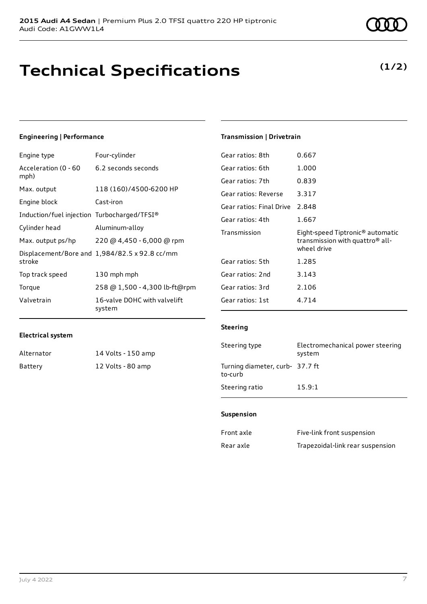### **Technical Specifications**

### **Engineering | Performance**

| Engine type                                 | Four-cylinder                                 |
|---------------------------------------------|-----------------------------------------------|
| Acceleration (0 - 60<br>mph)                | 6.2 seconds seconds                           |
| Max. output                                 | 118 (160)/4500-6200 HP                        |
| Engine block                                | Cast-iron                                     |
| Induction/fuel injection Turbocharged/TFSI® |                                               |
| Cylinder head                               | Aluminum-alloy                                |
| Max. output ps/hp                           | 220 @ 4,450 - 6,000 @ rpm                     |
| stroke                                      | Displacement/Bore and 1,984/82.5 x 92.8 cc/mm |
| Top track speed                             | 130 mph mph                                   |
| Torque                                      | 258 @ 1,500 - 4,300 lb-ft@rpm                 |
| Valvetrain                                  | 16-valve DOHC with valvelift<br>system        |

### **Transmission | Drivetrain**

| Gear ratios: 8th         | 0.667                                                                                                      |
|--------------------------|------------------------------------------------------------------------------------------------------------|
| Gear ratios: 6th         | 1.000                                                                                                      |
| Gear ratios: 7th         | 0.839                                                                                                      |
| Gear ratios: Reverse     | 3.317                                                                                                      |
| Gear ratios: Final Drive | 2.848                                                                                                      |
| Gear ratios: 4th         | 1.667                                                                                                      |
|                          |                                                                                                            |
| Transmission             | Eight-speed Tiptronic <sup>®</sup> automatic<br>transmission with quattro <sup>®</sup> all-<br>wheel drive |
| Gear ratios: 5th         | 1.285                                                                                                      |
| Gear ratios: 2nd         | 3.143                                                                                                      |
| Gear ratios: 3rd         | 2.106                                                                                                      |
| Gear ratios: 1st         | 4.714                                                                                                      |

#### **Electrical system**

| Alternator | 14 Volts - 150 amp |
|------------|--------------------|
| Battery    | 12 Volts - 80 amp  |

### **Steering**

| Steering type                              | Electromechanical power steering<br>system |
|--------------------------------------------|--------------------------------------------|
| Turning diameter, curb- 37.7 ft<br>to-curb |                                            |
| Steering ratio                             | 15.9:1                                     |

### **Suspension**

| Front axle | Five-link front suspension       |
|------------|----------------------------------|
| Rear axle  | Trapezoidal-link rear suspension |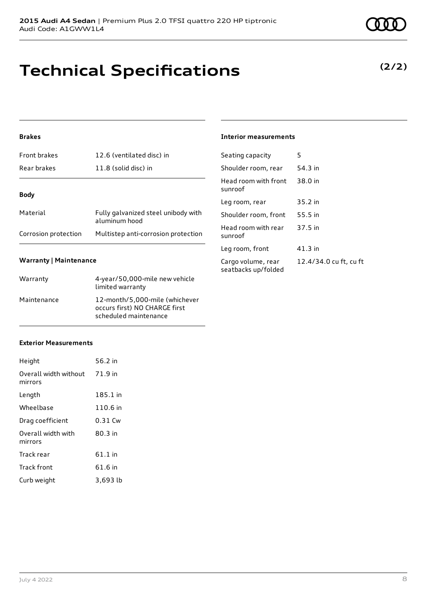### **Technical Specifications**

### **Brakes**

| <b>Front brakes</b>  | 12.6 (ventilated disc) in                            |
|----------------------|------------------------------------------------------|
| Rear brakes          | 11.8 (solid disc) in                                 |
| <b>Body</b>          |                                                      |
|                      |                                                      |
| Material             | Fully galvanized steel unibody with<br>aluminum hood |
| Corrosion protection | Multistep anti-corrosion protection                  |

### **Warranty | Maintenance**

| Warranty    | 4-year/50,000-mile new vehicle<br>limited warranty                                       |
|-------------|------------------------------------------------------------------------------------------|
| Maintenance | 12-month/5,000-mile (whichever<br>occurs first) NO CHARGE first<br>scheduled maintenance |

#### **Interior measurements**

| Seating capacity                          | 5                      |
|-------------------------------------------|------------------------|
| Shoulder room, rear                       | 54.3 in                |
| Head room with front<br>sunroof           | 38.0 in                |
| Leg room, rear                            | 35.2 in                |
| Shoulder room, front                      | 55.5 in                |
| Head room with rear<br>sunroof            | 37.5 in                |
| Leg room, front                           | 41.3 in                |
| Cargo volume, rear<br>seatbacks up/folded | 12.4/34.0 cu ft, cu ft |

### **Exterior Measurements**

| Height                           | 56.2 in   |
|----------------------------------|-----------|
| Overall width without<br>mirrors | 71.9 in   |
| Length                           | 185.1 in  |
| Wheelbase                        | 110.6 in  |
| Drag coefficient                 | $0.31$ Cw |
| Overall width with<br>mirrors    | $80.3$ in |
| Track rear                       | 61.1 in   |
| Track front                      | 61.6 in   |
| Curb weight                      | 3,693 lb  |

### **(2/2)**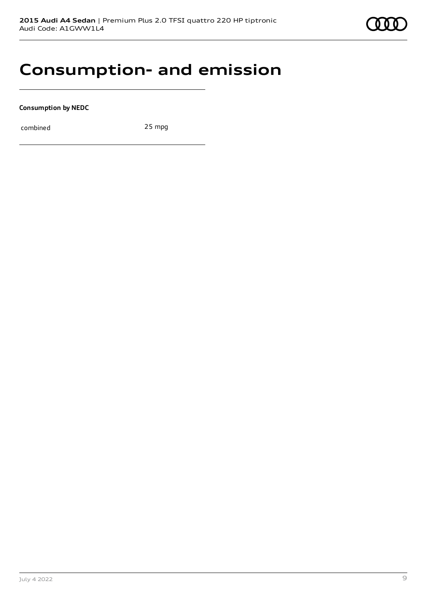

### **Consumption- and emission**

**Consumption by NEDC**

combined 25 mpg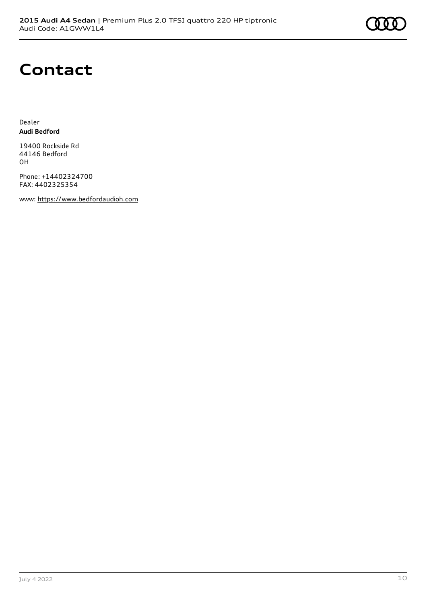# **Contact**

Dealer **Audi Bedford**

19400 Rockside Rd 44146 Bedford OH

Phone: +14402324700 FAX: 4402325354

www: [https://www.bedfordaudioh.com](https://www.bedfordaudioh.com/)